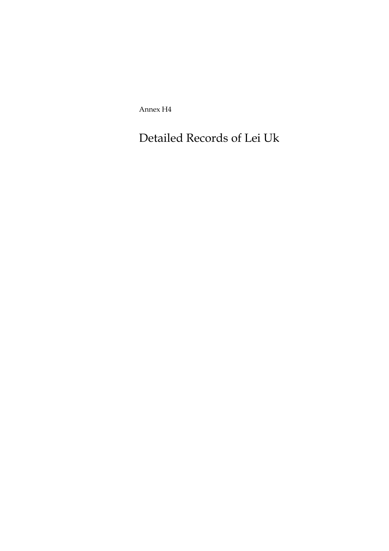Annex H4

Detailed Records of Lei Uk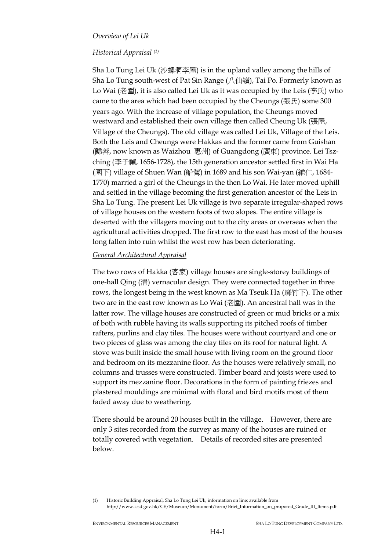## *Overview of Lei Uk*

## *Historical Appraisal (1)*

Sha Lo Tung Lei Uk (沙螺洞李屋) is in the upland valley among the hills of Sha Lo Tung south-west of Pat Sin Range (八仙嶺), Tai Po. Formerly known as Lo Wai (老圍), it is also called Lei Uk as it was occupied by the Leis (李氏) who came to the area which had been occupied by the Cheungs (張氏) some 300 years ago. With the increase of village population, the Cheungs moved westward and established their own village then called Cheung Uk (張屋, Village of the Cheungs). The old village was called Lei Uk, Village of the Leis. Both the Leis and Cheungs were Hakkas and the former came from Guishan (歸善, now known as Waizhou 惠州) of Guangdong (廣東) province. Lei Tszching (李子禎, 1656-1728), the 15th generation ancestor settled first in Wai Ha (圍下) village of Shuen Wan (船灣) in 1689 and his son Wai-yan (維仁, 1684- 1770) married a girl of the Cheungs in the then Lo Wai. He later moved uphill and settled in the village becoming the first generation ancestor of the Leis in Sha Lo Tung. The present Lei Uk village is two separate irregular-shaped rows of village houses on the western foots of two slopes. The entire village is deserted with the villagers moving out to the city areas or overseas when the agricultural activities dropped. The first row to the east has most of the houses long fallen into ruin whilst the west row has been deteriorating.

## *General Architectural Appraisal*

The two rows of Hakka (客家) village houses are single-storey buildings of one-hall Qing (清) vernacular design. They were connected together in three rows, the longest being in the west known as Ma Tseuk Ha (麻竹下). The other two are in the east row known as Lo Wai (老圍). An ancestral hall was in the latter row. The village houses are constructed of green or mud bricks or a mix of both with rubble having its walls supporting its pitched roofs of timber rafters, purlins and clay tiles. The houses were without courtyard and one or two pieces of glass was among the clay tiles on its roof for natural light. A stove was built inside the small house with living room on the ground floor and bedroom on its mezzanine floor. As the houses were relatively small, no columns and trusses were constructed. Timber board and joists were used to support its mezzanine floor. Decorations in the form of painting friezes and plastered mouldings are minimal with floral and bird motifs most of them faded away due to weathering.

There should be around 20 houses built in the village. However, there are only 3 sites recorded from the survey as many of the houses are ruined or totally covered with vegetation. Details of recorded sites are presented below.

<sup>(1)</sup> Historic Building Appraisal, Sha Lo Tung Lei Uk, information on line; available from http://www.lcsd.gov.hk/CE/Museum/Monument/form/Brief\_Information\_on\_proposed\_Grade\_III\_Items.pdf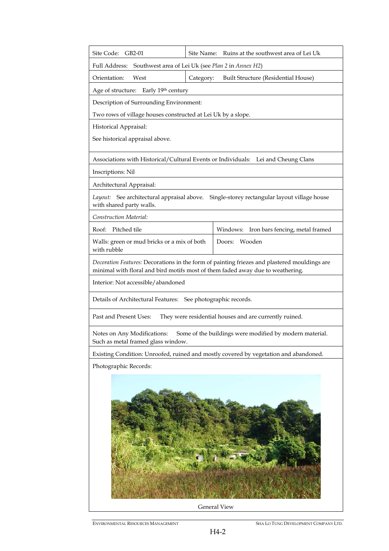| Site Code: GB2-01                                                                                                                                                              |           | Site Name: Ruins at the southwest area of Lei Uk                                  |  |  |
|--------------------------------------------------------------------------------------------------------------------------------------------------------------------------------|-----------|-----------------------------------------------------------------------------------|--|--|
| Southwest area of Lei Uk (see Plan 2 in Annex H2)<br>Full Address:                                                                                                             |           |                                                                                   |  |  |
| Orientation:<br>West                                                                                                                                                           | Category: | Built Structure (Residential House)                                               |  |  |
| Age of structure:<br>Early 19th century                                                                                                                                        |           |                                                                                   |  |  |
| Description of Surrounding Environment:                                                                                                                                        |           |                                                                                   |  |  |
| Two rows of village houses constructed at Lei Uk by a slope.                                                                                                                   |           |                                                                                   |  |  |
| Historical Appraisal:                                                                                                                                                          |           |                                                                                   |  |  |
| See historical appraisal above.                                                                                                                                                |           |                                                                                   |  |  |
|                                                                                                                                                                                |           | Associations with Historical/Cultural Events or Individuals: Lei and Cheung Clans |  |  |
| Inscriptions: Nil                                                                                                                                                              |           |                                                                                   |  |  |
| Architectural Appraisal:                                                                                                                                                       |           |                                                                                   |  |  |
| Single-storey rectangular layout village house<br>Layout: See architectural appraisal above.<br>with shared party walls.                                                       |           |                                                                                   |  |  |
| Construction Material:                                                                                                                                                         |           |                                                                                   |  |  |
| Pitched tile<br>Roof:                                                                                                                                                          |           | Iron bars fencing, metal framed<br>Windows:                                       |  |  |
| Walls: green or mud bricks or a mix of both<br>with rubble                                                                                                                     |           | Wooden<br>Doors:                                                                  |  |  |
| Decoration Features: Decorations in the form of painting friezes and plastered mouldings are<br>minimal with floral and bird motifs most of them faded away due to weathering. |           |                                                                                   |  |  |
| Interior: Not accessible/abandoned                                                                                                                                             |           |                                                                                   |  |  |
| Details of Architectural Features: See photographic records.                                                                                                                   |           |                                                                                   |  |  |
| Past and Present Uses:<br>They were residential houses and are currently ruined.                                                                                               |           |                                                                                   |  |  |
| Some of the buildings were modified by modern material.<br>Notes on Any Modifications:<br>Such as metal framed glass window.                                                   |           |                                                                                   |  |  |
| Existing Condition: Unroofed, ruined and mostly covered by vegetation and abandoned.                                                                                           |           |                                                                                   |  |  |
| Photographic Records:                                                                                                                                                          |           |                                                                                   |  |  |
|                                                                                                                                                                                |           |                                                                                   |  |  |
| General View                                                                                                                                                                   |           |                                                                                   |  |  |

ENVIRONMENTAL RESOURCES MANAGEMENT SHA LO TUNG DEVELOPMENT COMPANY LTD.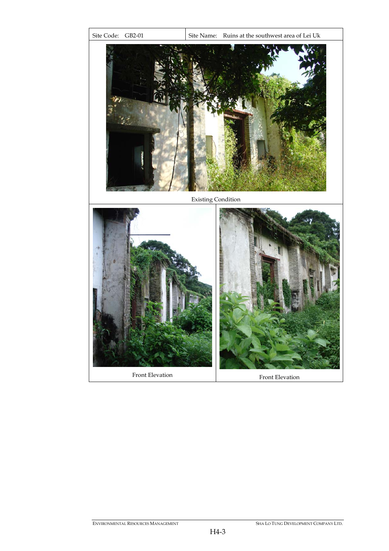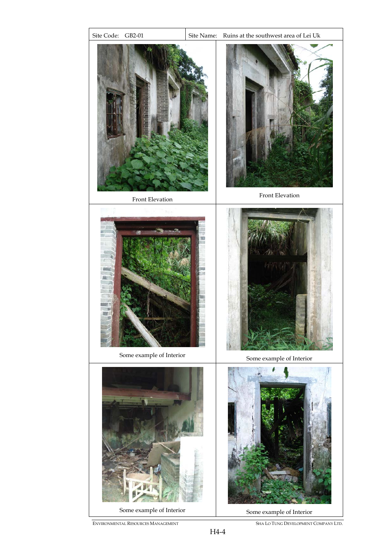

ENVIRONMENTAL RESOURCES MANAGEMENT SHA LO TUNG DEVELOPMENT COMPANY LTD.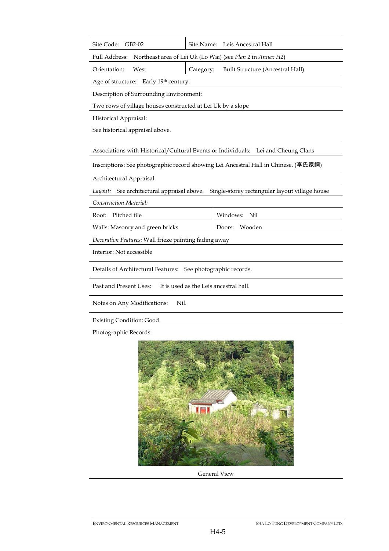| Site Code:<br>GB2-02                                                                |           | Site Name: Leis Ancestral Hall                                                    |  |  |
|-------------------------------------------------------------------------------------|-----------|-----------------------------------------------------------------------------------|--|--|
| Full Address: Northeast area of Lei Uk (Lo Wai) (see Plan 2 in Annex H2)            |           |                                                                                   |  |  |
| West<br>Orientation:                                                                | Category: | <b>Built Structure (Ancestral Hall)</b>                                           |  |  |
| Age of structure:<br>Early 19th century.                                            |           |                                                                                   |  |  |
| Description of Surrounding Environment:                                             |           |                                                                                   |  |  |
| Two rows of village houses constructed at Lei Uk by a slope                         |           |                                                                                   |  |  |
| Historical Appraisal:                                                               |           |                                                                                   |  |  |
| See historical appraisal above.                                                     |           |                                                                                   |  |  |
|                                                                                     |           | Associations with Historical/Cultural Events or Individuals: Lei and Cheung Clans |  |  |
| Inscriptions: See photographic record showing Lei Ancestral Hall in Chinese. (李氏家祠) |           |                                                                                   |  |  |
| Architectural Appraisal:                                                            |           |                                                                                   |  |  |
| Layout: See architectural appraisal above.                                          |           | Single-storey rectangular layout village house                                    |  |  |
| Construction Material:                                                              |           |                                                                                   |  |  |
| Pitched tile<br>Roof:                                                               |           | Windows: Nil                                                                      |  |  |
| Walls: Masonry and green bricks                                                     |           | Wooden<br>Doors:                                                                  |  |  |
| Decoration Features: Wall frieze painting fading away                               |           |                                                                                   |  |  |
| Interior: Not accessible                                                            |           |                                                                                   |  |  |
| Details of Architectural Features: See photographic records.                        |           |                                                                                   |  |  |
| Past and Present Uses:<br>It is used as the Leis ancestral hall.                    |           |                                                                                   |  |  |
| Nil.<br>Notes on Any Modifications:                                                 |           |                                                                                   |  |  |
| Existing Condition: Good.                                                           |           |                                                                                   |  |  |
| Photographic Records:                                                               |           |                                                                                   |  |  |
| <b>General View</b>                                                                 |           |                                                                                   |  |  |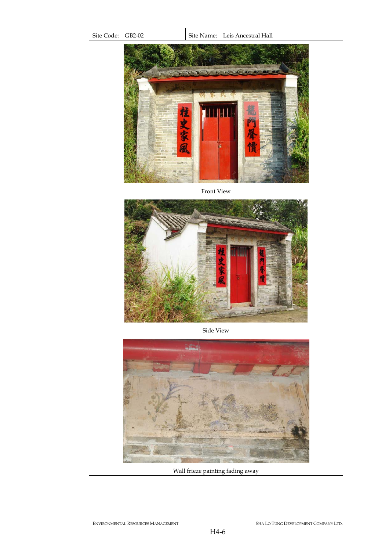

Wall frieze painting fading away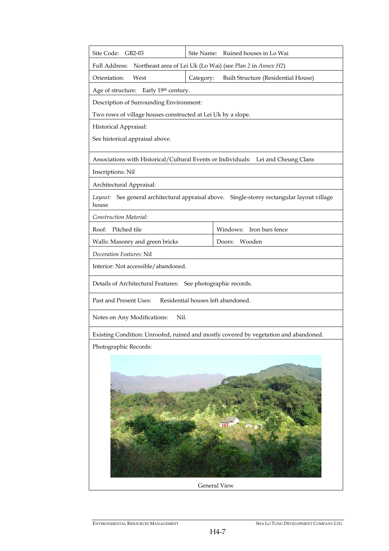| Site Code: GB2-03                                                                                        |           | Site Name: Ruined houses in Lo Wai                                                |  |  |
|----------------------------------------------------------------------------------------------------------|-----------|-----------------------------------------------------------------------------------|--|--|
| Full Address: Northeast area of Lei Uk (Lo Wai) (see Plan 2 in Annex H2)                                 |           |                                                                                   |  |  |
| West<br>Orientation:                                                                                     | Category: | Built Structure (Residential House)                                               |  |  |
| Age of structure: Early 19th century.                                                                    |           |                                                                                   |  |  |
| Description of Surrounding Environment:                                                                  |           |                                                                                   |  |  |
| Two rows of village houses constructed at Lei Uk by a slope.                                             |           |                                                                                   |  |  |
| Historical Appraisal:                                                                                    |           |                                                                                   |  |  |
| See historical appraisal above.                                                                          |           |                                                                                   |  |  |
|                                                                                                          |           | Associations with Historical/Cultural Events or Individuals: Lei and Cheung Clans |  |  |
| Inscriptions: Nil                                                                                        |           |                                                                                   |  |  |
| Architectural Appraisal:                                                                                 |           |                                                                                   |  |  |
| See general architectural appraisal above.  Single-storey rectangular layout village<br>Layout:<br>house |           |                                                                                   |  |  |
| Construction Material:                                                                                   |           |                                                                                   |  |  |
| Roof:<br>Pitched tile                                                                                    |           | Windows: Iron bars fence                                                          |  |  |
| Walls: Masonry and green bricks                                                                          |           | Wooden<br>Doors:                                                                  |  |  |
| Decoration Features: Nil                                                                                 |           |                                                                                   |  |  |
| Interior: Not accessible/abandoned.                                                                      |           |                                                                                   |  |  |
| Details of Architectural Features:<br>See photographic records.                                          |           |                                                                                   |  |  |
| Residential houses left abandoned.<br>Past and Present Uses:                                             |           |                                                                                   |  |  |
| Notes on Any Modifications:<br>Nil.                                                                      |           |                                                                                   |  |  |
| Existing Condition: Unroofed, ruined and mostly covered by vegetation and abandoned.                     |           |                                                                                   |  |  |
| Photographic Records:                                                                                    |           |                                                                                   |  |  |
|                                                                                                          |           |                                                                                   |  |  |
| <b>General View</b>                                                                                      |           |                                                                                   |  |  |